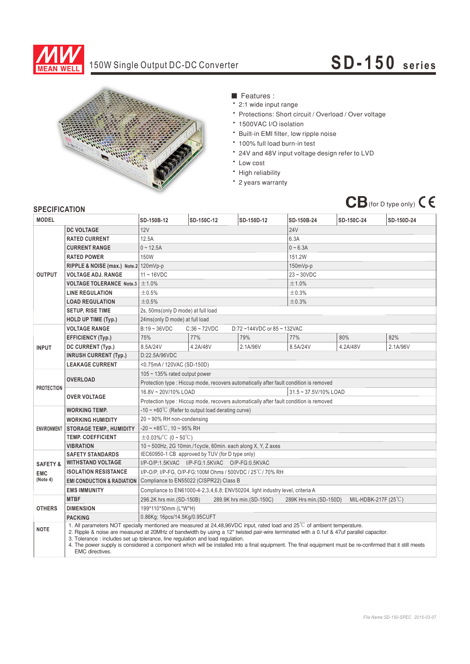

## 150W Single Output DC-DC Converter

## **SD-1 5 0 se rie s**



- Features :
- ‧2:1 wide input range
- ‧Protections: Short circuit / Overload / Over voltage
- ‧1500VAC I/O isolation
- ‧Built-in EMI filter, low ripple noise
- ‧100% full load burn-in test
- ‧24V and 48V input voltage design refer to LVD
- ‧Low cost
- High reliability
- ‧2 years warranty



## **SPECIFICATION**

| <b>24V</b><br>12V<br><b>DC VOLTAGE</b><br>12.5A<br>6.3A<br><b>RATED CURRENT</b><br>$0 - 12.5A$<br>$0 - 6.3A$<br><b>CURRENT RANGE</b><br>150W<br>151.2W<br><b>RATED POWER</b><br>RIPPLE & NOISE (max.) Note.2 120mVp-p<br>$150mVp-p$<br><b>OUTPUT</b><br>$11 - 16$ VDC<br>$23 - 30VDC$<br><b>VOLTAGE ADJ. RANGE</b><br><b>VOLTAGE TOLERANCE Note.3</b><br>±1.0%<br>±1.0%<br>±0.5%<br><b>LINE REGULATION</b><br>±0.3%<br>±0.5%<br>±0.3%<br><b>LOAD REGULATION</b><br>2s, 50ms(only D mode) at full load<br><b>SETUP, RISE TIME</b><br><b>HOLD UP TIME (Typ.)</b><br>24ms(only D mode) at full load<br><b>VOLTAGE RANGE</b><br>$B:19 - 36VDC$<br>$C:36 \sim 72VDC$<br>D:72~144VDC or 85~132VAC<br>75%<br>77%<br>79%<br>82%<br>77%<br>80%<br>EFFICIENCY (Typ.)<br>8.5A/24V<br>4.2A/48V<br>4.2A/48V<br>2.1A/96V<br>8.5A/24V<br>2.1A/96V<br>DC CURRENT (Typ.)<br><b>INPUT</b><br><b>INRUSH CURRENT (Typ.)</b><br>D:22.5A/96VDC<br><b>LEAKAGE CURRENT</b><br><0.75mA / 120VAC (SD-150D)<br>$105 \sim 135\%$ rated output power<br><b>OVERLOAD</b><br>Protection type : Hiccup mode, recovers automatically after fault condition is removed<br><b>PROTECTION</b><br>16.8V ~ 20V/10% LOAD<br>31.5~37.5V/10% LOAD<br><b>OVER VOLTAGE</b><br>Protection type : Hiccup mode, recovers automatically after fault condition is removed<br>-10 $\sim$ +60°C (Refer to output load derating curve)<br><b>WORKING TEMP.</b><br>$20 \sim 90\%$ RH non-condensing<br><b>WORKING HUMIDITY</b><br>$-20 \sim +85^{\circ}$ C, 10 ~ 95% RH<br><b>STORAGE TEMP., HUMIDITY</b><br><b>ENVIRONMENT</b><br>$\pm$ 0.03%/°C (0~50°C)<br><b>TEMP. COEFFICIENT</b><br><b>VIBRATION</b><br>10 ~ 500Hz, 2G 10min./1cycle, 60min. each along X, Y, Z axes<br>IEC60950-1 CB approved by TUV (for D type only)<br><b>SAFETY STANDARDS</b><br><b>WITHSTAND VOLTAGE</b><br>I/P-O/P:1.5KVAC I/P-FG:1.5KVAC O/P-FG:0.5KVAC<br><b>SAFETY &amp;</b><br><b>ISOLATION RESISTANCE</b><br>I/P-O/P, I/P-FG, O/P-FG:100M Ohms / 500VDC / 25°C / 70% RH<br><b>EMC</b><br>(Note 4)<br>Compliance to EN55022 (CISPR22) Class B<br><b>EMI CONDUCTION &amp; RADIATION</b><br><b>EMS IMMUNITY</b><br>Compliance to EN61000-4-2,3,4,6,8; ENV50204, light industry level, criteria A<br><b>MTBF</b><br>MIL-HDBK-217F $(25^{\circ}$ C)<br>296.2K hrs min. (SD-150B)<br>289.9K hrs min. (SD-150C)<br>289K Hrs min. (SD-150D)<br><b>OTHERS</b><br><b>DIMENSION</b><br>199*110*50mm (L*W*H)<br>0.86Kg; 16pcs/14.5Kg/0.95CUFT<br><b>PACKING</b><br>1. All parameters NOT specially mentioned are measured at 24.48.96VDC input, rated load and 25 <sup>°</sup> C of ambient temperature.<br><b>NOTE</b><br>2. Ripple & noise are measured at 20MHz of bandwidth by using a 12" twisted pair-wire terminated with a 0.1uf & 47uf parallel capacitor.<br>3. Tolerance : includes set up tolerance, line regulation and load regulation.<br>4. The power supply is considered a component which will be installed into a final equipment. The final equipment must be re-confirmed that it still meets<br><b>EMC</b> directives. | <b>MODEL</b> |  | SD-150B-12 | SD-150C-12 | SD-150D-12 | SD-150B-24 | SD-150C-24 | SD-150D-24 |  |
|-----------------------------------------------------------------------------------------------------------------------------------------------------------------------------------------------------------------------------------------------------------------------------------------------------------------------------------------------------------------------------------------------------------------------------------------------------------------------------------------------------------------------------------------------------------------------------------------------------------------------------------------------------------------------------------------------------------------------------------------------------------------------------------------------------------------------------------------------------------------------------------------------------------------------------------------------------------------------------------------------------------------------------------------------------------------------------------------------------------------------------------------------------------------------------------------------------------------------------------------------------------------------------------------------------------------------------------------------------------------------------------------------------------------------------------------------------------------------------------------------------------------------------------------------------------------------------------------------------------------------------------------------------------------------------------------------------------------------------------------------------------------------------------------------------------------------------------------------------------------------------------------------------------------------------------------------------------------------------------------------------------------------------------------------------------------------------------------------------------------------------------------------------------------------------------------------------------------------------------------------------------------------------------------------------------------------------------------------------------------------------------------------------------------------------------------------------------------------------------------------------------------------------------------------------------------------------------------------------------------------------------------------------------------------------------------------------------------------------------------------------------------------------------------------------------------------------------------------------------------------------------------------------------------------------------------------------------------------------------------------------------------------------------------------------------------|--------------|--|------------|------------|------------|------------|------------|------------|--|
|                                                                                                                                                                                                                                                                                                                                                                                                                                                                                                                                                                                                                                                                                                                                                                                                                                                                                                                                                                                                                                                                                                                                                                                                                                                                                                                                                                                                                                                                                                                                                                                                                                                                                                                                                                                                                                                                                                                                                                                                                                                                                                                                                                                                                                                                                                                                                                                                                                                                                                                                                                                                                                                                                                                                                                                                                                                                                                                                                                                                                                                                 |              |  |            |            |            |            |            |            |  |
|                                                                                                                                                                                                                                                                                                                                                                                                                                                                                                                                                                                                                                                                                                                                                                                                                                                                                                                                                                                                                                                                                                                                                                                                                                                                                                                                                                                                                                                                                                                                                                                                                                                                                                                                                                                                                                                                                                                                                                                                                                                                                                                                                                                                                                                                                                                                                                                                                                                                                                                                                                                                                                                                                                                                                                                                                                                                                                                                                                                                                                                                 |              |  |            |            |            |            |            |            |  |
|                                                                                                                                                                                                                                                                                                                                                                                                                                                                                                                                                                                                                                                                                                                                                                                                                                                                                                                                                                                                                                                                                                                                                                                                                                                                                                                                                                                                                                                                                                                                                                                                                                                                                                                                                                                                                                                                                                                                                                                                                                                                                                                                                                                                                                                                                                                                                                                                                                                                                                                                                                                                                                                                                                                                                                                                                                                                                                                                                                                                                                                                 |              |  |            |            |            |            |            |            |  |
|                                                                                                                                                                                                                                                                                                                                                                                                                                                                                                                                                                                                                                                                                                                                                                                                                                                                                                                                                                                                                                                                                                                                                                                                                                                                                                                                                                                                                                                                                                                                                                                                                                                                                                                                                                                                                                                                                                                                                                                                                                                                                                                                                                                                                                                                                                                                                                                                                                                                                                                                                                                                                                                                                                                                                                                                                                                                                                                                                                                                                                                                 |              |  |            |            |            |            |            |            |  |
|                                                                                                                                                                                                                                                                                                                                                                                                                                                                                                                                                                                                                                                                                                                                                                                                                                                                                                                                                                                                                                                                                                                                                                                                                                                                                                                                                                                                                                                                                                                                                                                                                                                                                                                                                                                                                                                                                                                                                                                                                                                                                                                                                                                                                                                                                                                                                                                                                                                                                                                                                                                                                                                                                                                                                                                                                                                                                                                                                                                                                                                                 |              |  |            |            |            |            |            |            |  |
|                                                                                                                                                                                                                                                                                                                                                                                                                                                                                                                                                                                                                                                                                                                                                                                                                                                                                                                                                                                                                                                                                                                                                                                                                                                                                                                                                                                                                                                                                                                                                                                                                                                                                                                                                                                                                                                                                                                                                                                                                                                                                                                                                                                                                                                                                                                                                                                                                                                                                                                                                                                                                                                                                                                                                                                                                                                                                                                                                                                                                                                                 |              |  |            |            |            |            |            |            |  |
|                                                                                                                                                                                                                                                                                                                                                                                                                                                                                                                                                                                                                                                                                                                                                                                                                                                                                                                                                                                                                                                                                                                                                                                                                                                                                                                                                                                                                                                                                                                                                                                                                                                                                                                                                                                                                                                                                                                                                                                                                                                                                                                                                                                                                                                                                                                                                                                                                                                                                                                                                                                                                                                                                                                                                                                                                                                                                                                                                                                                                                                                 |              |  |            |            |            |            |            |            |  |
|                                                                                                                                                                                                                                                                                                                                                                                                                                                                                                                                                                                                                                                                                                                                                                                                                                                                                                                                                                                                                                                                                                                                                                                                                                                                                                                                                                                                                                                                                                                                                                                                                                                                                                                                                                                                                                                                                                                                                                                                                                                                                                                                                                                                                                                                                                                                                                                                                                                                                                                                                                                                                                                                                                                                                                                                                                                                                                                                                                                                                                                                 |              |  |            |            |            |            |            |            |  |
|                                                                                                                                                                                                                                                                                                                                                                                                                                                                                                                                                                                                                                                                                                                                                                                                                                                                                                                                                                                                                                                                                                                                                                                                                                                                                                                                                                                                                                                                                                                                                                                                                                                                                                                                                                                                                                                                                                                                                                                                                                                                                                                                                                                                                                                                                                                                                                                                                                                                                                                                                                                                                                                                                                                                                                                                                                                                                                                                                                                                                                                                 |              |  |            |            |            |            |            |            |  |
|                                                                                                                                                                                                                                                                                                                                                                                                                                                                                                                                                                                                                                                                                                                                                                                                                                                                                                                                                                                                                                                                                                                                                                                                                                                                                                                                                                                                                                                                                                                                                                                                                                                                                                                                                                                                                                                                                                                                                                                                                                                                                                                                                                                                                                                                                                                                                                                                                                                                                                                                                                                                                                                                                                                                                                                                                                                                                                                                                                                                                                                                 |              |  |            |            |            |            |            |            |  |
|                                                                                                                                                                                                                                                                                                                                                                                                                                                                                                                                                                                                                                                                                                                                                                                                                                                                                                                                                                                                                                                                                                                                                                                                                                                                                                                                                                                                                                                                                                                                                                                                                                                                                                                                                                                                                                                                                                                                                                                                                                                                                                                                                                                                                                                                                                                                                                                                                                                                                                                                                                                                                                                                                                                                                                                                                                                                                                                                                                                                                                                                 |              |  |            |            |            |            |            |            |  |
|                                                                                                                                                                                                                                                                                                                                                                                                                                                                                                                                                                                                                                                                                                                                                                                                                                                                                                                                                                                                                                                                                                                                                                                                                                                                                                                                                                                                                                                                                                                                                                                                                                                                                                                                                                                                                                                                                                                                                                                                                                                                                                                                                                                                                                                                                                                                                                                                                                                                                                                                                                                                                                                                                                                                                                                                                                                                                                                                                                                                                                                                 |              |  |            |            |            |            |            |            |  |
|                                                                                                                                                                                                                                                                                                                                                                                                                                                                                                                                                                                                                                                                                                                                                                                                                                                                                                                                                                                                                                                                                                                                                                                                                                                                                                                                                                                                                                                                                                                                                                                                                                                                                                                                                                                                                                                                                                                                                                                                                                                                                                                                                                                                                                                                                                                                                                                                                                                                                                                                                                                                                                                                                                                                                                                                                                                                                                                                                                                                                                                                 |              |  |            |            |            |            |            |            |  |
|                                                                                                                                                                                                                                                                                                                                                                                                                                                                                                                                                                                                                                                                                                                                                                                                                                                                                                                                                                                                                                                                                                                                                                                                                                                                                                                                                                                                                                                                                                                                                                                                                                                                                                                                                                                                                                                                                                                                                                                                                                                                                                                                                                                                                                                                                                                                                                                                                                                                                                                                                                                                                                                                                                                                                                                                                                                                                                                                                                                                                                                                 |              |  |            |            |            |            |            |            |  |
|                                                                                                                                                                                                                                                                                                                                                                                                                                                                                                                                                                                                                                                                                                                                                                                                                                                                                                                                                                                                                                                                                                                                                                                                                                                                                                                                                                                                                                                                                                                                                                                                                                                                                                                                                                                                                                                                                                                                                                                                                                                                                                                                                                                                                                                                                                                                                                                                                                                                                                                                                                                                                                                                                                                                                                                                                                                                                                                                                                                                                                                                 |              |  |            |            |            |            |            |            |  |
|                                                                                                                                                                                                                                                                                                                                                                                                                                                                                                                                                                                                                                                                                                                                                                                                                                                                                                                                                                                                                                                                                                                                                                                                                                                                                                                                                                                                                                                                                                                                                                                                                                                                                                                                                                                                                                                                                                                                                                                                                                                                                                                                                                                                                                                                                                                                                                                                                                                                                                                                                                                                                                                                                                                                                                                                                                                                                                                                                                                                                                                                 |              |  |            |            |            |            |            |            |  |
|                                                                                                                                                                                                                                                                                                                                                                                                                                                                                                                                                                                                                                                                                                                                                                                                                                                                                                                                                                                                                                                                                                                                                                                                                                                                                                                                                                                                                                                                                                                                                                                                                                                                                                                                                                                                                                                                                                                                                                                                                                                                                                                                                                                                                                                                                                                                                                                                                                                                                                                                                                                                                                                                                                                                                                                                                                                                                                                                                                                                                                                                 |              |  |            |            |            |            |            |            |  |
|                                                                                                                                                                                                                                                                                                                                                                                                                                                                                                                                                                                                                                                                                                                                                                                                                                                                                                                                                                                                                                                                                                                                                                                                                                                                                                                                                                                                                                                                                                                                                                                                                                                                                                                                                                                                                                                                                                                                                                                                                                                                                                                                                                                                                                                                                                                                                                                                                                                                                                                                                                                                                                                                                                                                                                                                                                                                                                                                                                                                                                                                 |              |  |            |            |            |            |            |            |  |
|                                                                                                                                                                                                                                                                                                                                                                                                                                                                                                                                                                                                                                                                                                                                                                                                                                                                                                                                                                                                                                                                                                                                                                                                                                                                                                                                                                                                                                                                                                                                                                                                                                                                                                                                                                                                                                                                                                                                                                                                                                                                                                                                                                                                                                                                                                                                                                                                                                                                                                                                                                                                                                                                                                                                                                                                                                                                                                                                                                                                                                                                 |              |  |            |            |            |            |            |            |  |
|                                                                                                                                                                                                                                                                                                                                                                                                                                                                                                                                                                                                                                                                                                                                                                                                                                                                                                                                                                                                                                                                                                                                                                                                                                                                                                                                                                                                                                                                                                                                                                                                                                                                                                                                                                                                                                                                                                                                                                                                                                                                                                                                                                                                                                                                                                                                                                                                                                                                                                                                                                                                                                                                                                                                                                                                                                                                                                                                                                                                                                                                 |              |  |            |            |            |            |            |            |  |
|                                                                                                                                                                                                                                                                                                                                                                                                                                                                                                                                                                                                                                                                                                                                                                                                                                                                                                                                                                                                                                                                                                                                                                                                                                                                                                                                                                                                                                                                                                                                                                                                                                                                                                                                                                                                                                                                                                                                                                                                                                                                                                                                                                                                                                                                                                                                                                                                                                                                                                                                                                                                                                                                                                                                                                                                                                                                                                                                                                                                                                                                 |              |  |            |            |            |            |            |            |  |
|                                                                                                                                                                                                                                                                                                                                                                                                                                                                                                                                                                                                                                                                                                                                                                                                                                                                                                                                                                                                                                                                                                                                                                                                                                                                                                                                                                                                                                                                                                                                                                                                                                                                                                                                                                                                                                                                                                                                                                                                                                                                                                                                                                                                                                                                                                                                                                                                                                                                                                                                                                                                                                                                                                                                                                                                                                                                                                                                                                                                                                                                 |              |  |            |            |            |            |            |            |  |
|                                                                                                                                                                                                                                                                                                                                                                                                                                                                                                                                                                                                                                                                                                                                                                                                                                                                                                                                                                                                                                                                                                                                                                                                                                                                                                                                                                                                                                                                                                                                                                                                                                                                                                                                                                                                                                                                                                                                                                                                                                                                                                                                                                                                                                                                                                                                                                                                                                                                                                                                                                                                                                                                                                                                                                                                                                                                                                                                                                                                                                                                 |              |  |            |            |            |            |            |            |  |
|                                                                                                                                                                                                                                                                                                                                                                                                                                                                                                                                                                                                                                                                                                                                                                                                                                                                                                                                                                                                                                                                                                                                                                                                                                                                                                                                                                                                                                                                                                                                                                                                                                                                                                                                                                                                                                                                                                                                                                                                                                                                                                                                                                                                                                                                                                                                                                                                                                                                                                                                                                                                                                                                                                                                                                                                                                                                                                                                                                                                                                                                 |              |  |            |            |            |            |            |            |  |
|                                                                                                                                                                                                                                                                                                                                                                                                                                                                                                                                                                                                                                                                                                                                                                                                                                                                                                                                                                                                                                                                                                                                                                                                                                                                                                                                                                                                                                                                                                                                                                                                                                                                                                                                                                                                                                                                                                                                                                                                                                                                                                                                                                                                                                                                                                                                                                                                                                                                                                                                                                                                                                                                                                                                                                                                                                                                                                                                                                                                                                                                 |              |  |            |            |            |            |            |            |  |
|                                                                                                                                                                                                                                                                                                                                                                                                                                                                                                                                                                                                                                                                                                                                                                                                                                                                                                                                                                                                                                                                                                                                                                                                                                                                                                                                                                                                                                                                                                                                                                                                                                                                                                                                                                                                                                                                                                                                                                                                                                                                                                                                                                                                                                                                                                                                                                                                                                                                                                                                                                                                                                                                                                                                                                                                                                                                                                                                                                                                                                                                 |              |  |            |            |            |            |            |            |  |
|                                                                                                                                                                                                                                                                                                                                                                                                                                                                                                                                                                                                                                                                                                                                                                                                                                                                                                                                                                                                                                                                                                                                                                                                                                                                                                                                                                                                                                                                                                                                                                                                                                                                                                                                                                                                                                                                                                                                                                                                                                                                                                                                                                                                                                                                                                                                                                                                                                                                                                                                                                                                                                                                                                                                                                                                                                                                                                                                                                                                                                                                 |              |  |            |            |            |            |            |            |  |
|                                                                                                                                                                                                                                                                                                                                                                                                                                                                                                                                                                                                                                                                                                                                                                                                                                                                                                                                                                                                                                                                                                                                                                                                                                                                                                                                                                                                                                                                                                                                                                                                                                                                                                                                                                                                                                                                                                                                                                                                                                                                                                                                                                                                                                                                                                                                                                                                                                                                                                                                                                                                                                                                                                                                                                                                                                                                                                                                                                                                                                                                 |              |  |            |            |            |            |            |            |  |
|                                                                                                                                                                                                                                                                                                                                                                                                                                                                                                                                                                                                                                                                                                                                                                                                                                                                                                                                                                                                                                                                                                                                                                                                                                                                                                                                                                                                                                                                                                                                                                                                                                                                                                                                                                                                                                                                                                                                                                                                                                                                                                                                                                                                                                                                                                                                                                                                                                                                                                                                                                                                                                                                                                                                                                                                                                                                                                                                                                                                                                                                 |              |  |            |            |            |            |            |            |  |
|                                                                                                                                                                                                                                                                                                                                                                                                                                                                                                                                                                                                                                                                                                                                                                                                                                                                                                                                                                                                                                                                                                                                                                                                                                                                                                                                                                                                                                                                                                                                                                                                                                                                                                                                                                                                                                                                                                                                                                                                                                                                                                                                                                                                                                                                                                                                                                                                                                                                                                                                                                                                                                                                                                                                                                                                                                                                                                                                                                                                                                                                 |              |  |            |            |            |            |            |            |  |
|                                                                                                                                                                                                                                                                                                                                                                                                                                                                                                                                                                                                                                                                                                                                                                                                                                                                                                                                                                                                                                                                                                                                                                                                                                                                                                                                                                                                                                                                                                                                                                                                                                                                                                                                                                                                                                                                                                                                                                                                                                                                                                                                                                                                                                                                                                                                                                                                                                                                                                                                                                                                                                                                                                                                                                                                                                                                                                                                                                                                                                                                 |              |  |            |            |            |            |            |            |  |
|                                                                                                                                                                                                                                                                                                                                                                                                                                                                                                                                                                                                                                                                                                                                                                                                                                                                                                                                                                                                                                                                                                                                                                                                                                                                                                                                                                                                                                                                                                                                                                                                                                                                                                                                                                                                                                                                                                                                                                                                                                                                                                                                                                                                                                                                                                                                                                                                                                                                                                                                                                                                                                                                                                                                                                                                                                                                                                                                                                                                                                                                 |              |  |            |            |            |            |            |            |  |
|                                                                                                                                                                                                                                                                                                                                                                                                                                                                                                                                                                                                                                                                                                                                                                                                                                                                                                                                                                                                                                                                                                                                                                                                                                                                                                                                                                                                                                                                                                                                                                                                                                                                                                                                                                                                                                                                                                                                                                                                                                                                                                                                                                                                                                                                                                                                                                                                                                                                                                                                                                                                                                                                                                                                                                                                                                                                                                                                                                                                                                                                 |              |  |            |            |            |            |            |            |  |
|                                                                                                                                                                                                                                                                                                                                                                                                                                                                                                                                                                                                                                                                                                                                                                                                                                                                                                                                                                                                                                                                                                                                                                                                                                                                                                                                                                                                                                                                                                                                                                                                                                                                                                                                                                                                                                                                                                                                                                                                                                                                                                                                                                                                                                                                                                                                                                                                                                                                                                                                                                                                                                                                                                                                                                                                                                                                                                                                                                                                                                                                 |              |  |            |            |            |            |            |            |  |